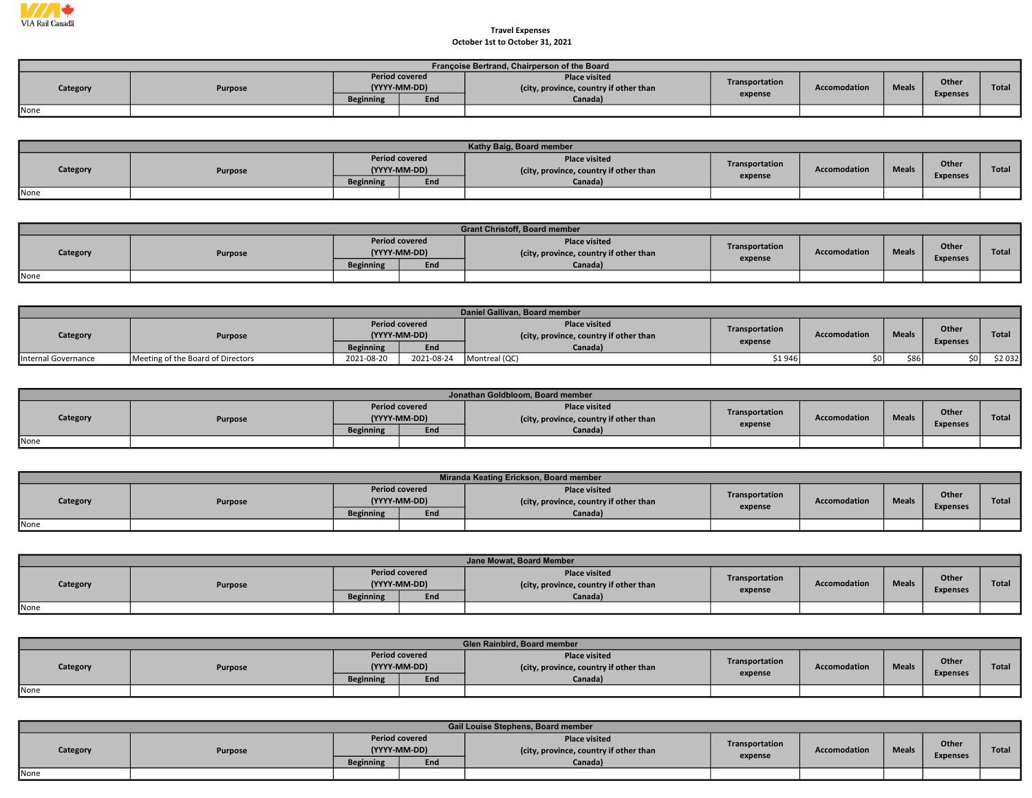

## Travel Expenses October 1st to October 31, 2021

|          | Françoise Bertrand, Chairperson of the Board |                                       |     |                                                                |                |                     |              |                 |       |  |  |  |  |  |
|----------|----------------------------------------------|---------------------------------------|-----|----------------------------------------------------------------|----------------|---------------------|--------------|-----------------|-------|--|--|--|--|--|
| Category | Purpose                                      | <b>Period covered</b><br>(YYYY-MM-DD) |     | <b>Place visited</b><br>(city, province, country if other than | Transportation | <b>Accomodation</b> | <b>Meals</b> | Other           | Total |  |  |  |  |  |
|          |                                              | <b>Beginning</b>                      | End | Canada)                                                        | expense        |                     |              | <b>Expenses</b> |       |  |  |  |  |  |
| None     |                                              |                                       |     |                                                                |                |                     |              |                 |       |  |  |  |  |  |

|          | Kathy Baig, Board member |                                       |     |                                                                |                           |                     |              |                          |              |  |  |  |  |
|----------|--------------------------|---------------------------------------|-----|----------------------------------------------------------------|---------------------------|---------------------|--------------|--------------------------|--------------|--|--|--|--|
| Category | Purpose                  | <b>Period covered</b><br>(YYYY-MM-DD) |     | <b>Place visited</b><br>(city, province, country if other than | Transportation<br>expense | <b>Accomodation</b> | <b>Meals</b> | Other<br><b>Expenses</b> | <b>Total</b> |  |  |  |  |
|          |                          | <b>Beginning</b>                      | End | Canada)                                                        |                           |                     |              |                          |              |  |  |  |  |
| None     |                          |                                       |     |                                                                |                           |                     |              |                          |              |  |  |  |  |

|          |                |                                       |     | <b>Grant Christoff, Board member</b>                           |                |              |              |                          |              |
|----------|----------------|---------------------------------------|-----|----------------------------------------------------------------|----------------|--------------|--------------|--------------------------|--------------|
| Category | <b>Purpose</b> | <b>Period covered</b><br>(YYYY-MM-DD) |     | <b>Place visited</b><br>(city, province, country if other than | Transportation | Accomodation | <b>Meals</b> | Other<br><b>Expenses</b> | <b>Total</b> |
|          |                | <b>Beginning</b>                      | End | Canada)                                                        | expense        |              |              |                          |              |
| None     |                |                                       |     |                                                                |                |              |              |                          |              |

|                     | Daniel Gallivan, Board member     |                                       |            |                                                                |                |                     |              |                 |              |  |  |  |  |
|---------------------|-----------------------------------|---------------------------------------|------------|----------------------------------------------------------------|----------------|---------------------|--------------|-----------------|--------------|--|--|--|--|
| Category            | <b>Purpose</b>                    | <b>Period covered</b><br>(YYYY-MM-DD) |            | <b>Place visited</b><br>(city, province, country if other than | Transportation | <b>Accomodation</b> | <b>Meals</b> | Other           | <b>Total</b> |  |  |  |  |
|                     |                                   | <b>Beginning</b>                      | End        | Canada)                                                        | expense        |                     |              | <b>Expenses</b> |              |  |  |  |  |
| Internal Governance | Meeting of the Board of Directors | 2021-08-20                            | 2021-08-24 | Montreal (QC)                                                  | \$1 946        |                     | <b>\$861</b> | \$0 l           | \$2 032      |  |  |  |  |

|          |         |                  |                                       | Jonathan Goldbloom, Board member                               |                |                     |              |                 |       |
|----------|---------|------------------|---------------------------------------|----------------------------------------------------------------|----------------|---------------------|--------------|-----------------|-------|
| Category | Purpose |                  | <b>Period covered</b><br>(YYYY-MM-DD) | <b>Place visited</b><br>(city, province, country if other than | Transportation | <b>Accomodation</b> | <b>Meals</b> | Other           | Total |
|          |         | <b>Beginning</b> | End                                   | Canada)                                                        | expense        |                     |              | <b>Expenses</b> |       |
| None     |         |                  |                                       |                                                                |                |                     |              |                 |       |

|          |         |                  |                                       | Miranda Keating Erickson, Board member                         |                |                     |              |                          |              |
|----------|---------|------------------|---------------------------------------|----------------------------------------------------------------|----------------|---------------------|--------------|--------------------------|--------------|
| Category | Purpose |                  | <b>Period covered</b><br>(YYYY-MM-DD) | <b>Place visited</b><br>(city, province, country if other than | Transportation | <b>Accomodation</b> | <b>Meals</b> | Other<br><b>Expenses</b> | <b>Total</b> |
|          |         | <b>Beginning</b> | End                                   | Canada)                                                        | expense        |                     |              |                          |              |
| None     |         |                  |                                       |                                                                |                |                     |              |                          |              |

|          |         |                                       |     | Jane Mowat, Board Member                                       |                |                     |              |                          |              |
|----------|---------|---------------------------------------|-----|----------------------------------------------------------------|----------------|---------------------|--------------|--------------------------|--------------|
| Category | Purpose | <b>Period covered</b><br>(YYYY-MM-DD) |     | <b>Place visited</b><br>(city, province, country if other than | Transportation | <b>Accomodation</b> | <b>Meals</b> | Other<br><b>Expenses</b> | <b>Total</b> |
|          |         | <b>Beginning</b>                      | End | Canada)                                                        | expense        |                     |              |                          |              |
| None     |         |                                       |     |                                                                |                |                     |              |                          |              |

|          | Glen Rainbird, Board member |                  |                                       |                                                                |                |                     |              |                 |              |  |  |  |  |  |
|----------|-----------------------------|------------------|---------------------------------------|----------------------------------------------------------------|----------------|---------------------|--------------|-----------------|--------------|--|--|--|--|--|
| Category | Purpose                     |                  | <b>Period covered</b><br>(YYYY-MM-DD) | <b>Place visited</b><br>(city, province, country if other than | Transportation | <b>Accomodation</b> | <b>Meals</b> | Other           | <b>Total</b> |  |  |  |  |  |
|          |                             | <b>Beginning</b> | End                                   | Canada)                                                        | expense        |                     |              | <b>Expenses</b> |              |  |  |  |  |  |
| None     |                             |                  |                                       |                                                                |                |                     |              |                 |              |  |  |  |  |  |

|          | Gail Louise Stephens, Board member |                  |                                       |                                                                |                           |                     |              |                 |              |  |  |  |  |
|----------|------------------------------------|------------------|---------------------------------------|----------------------------------------------------------------|---------------------------|---------------------|--------------|-----------------|--------------|--|--|--|--|
| Category | Purpose                            |                  | <b>Period covered</b><br>(YYYY-MM-DD) | <b>Place visited</b><br>(city, province, country if other than | Transportation<br>expense | <b>Accomodation</b> | <b>Meals</b> | <b>Other</b>    | <b>Total</b> |  |  |  |  |
|          |                                    | <b>Beginning</b> | End                                   | Canada)                                                        |                           |                     |              | <b>Expenses</b> |              |  |  |  |  |
| None     |                                    |                  |                                       |                                                                |                           |                     |              |                 |              |  |  |  |  |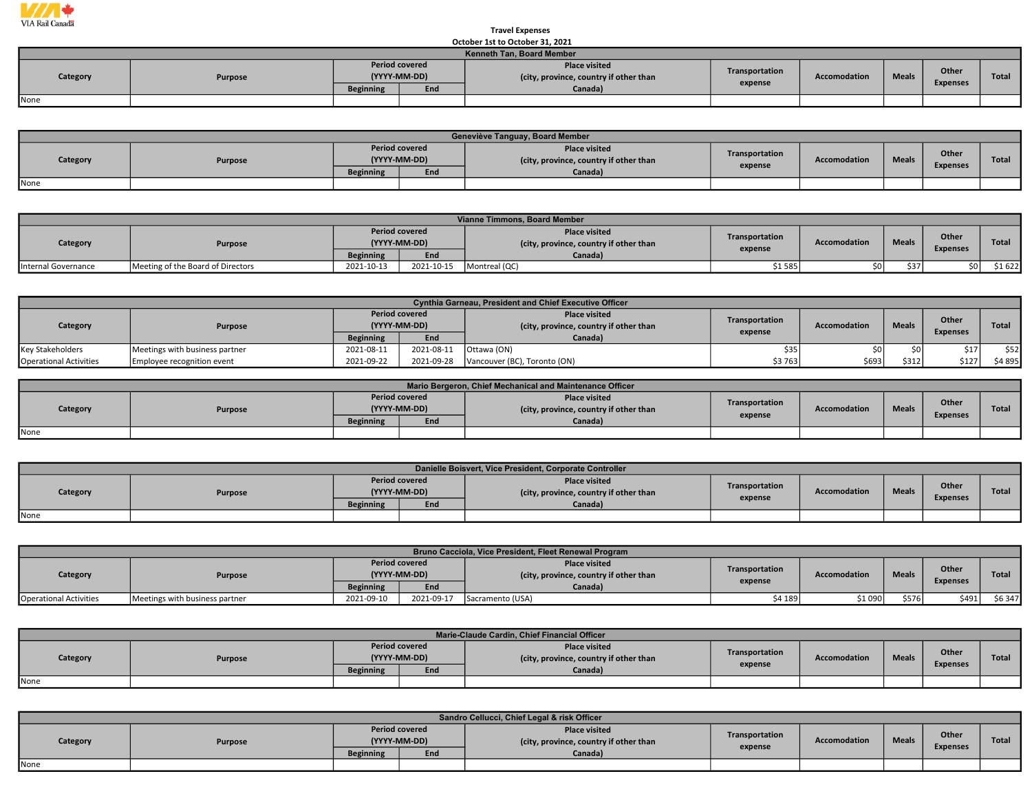

## Travel Expenses October 1st to October 31, 2021

|                     | OCLODER ISL TO OCLODER 31, 2021 |                                       |         |                                                                |                                |  |                 |                       |       |  |  |  |  |  |
|---------------------|---------------------------------|---------------------------------------|---------|----------------------------------------------------------------|--------------------------------|--|-----------------|-----------------------|-------|--|--|--|--|--|
|                     | Kenneth Tan, Board Member       |                                       |         |                                                                |                                |  |                 |                       |       |  |  |  |  |  |
| Category<br>Purpose |                                 | <b>Period covered</b><br>(YYYY-MM-DD) |         | <b>Place visited</b><br>(city, province, country if other than | Transportation<br>Accomodation |  |                 | Other<br><b>Meals</b> | Total |  |  |  |  |  |
|                     | <b>Beginning</b>                | End                                   | Canada) | expense                                                        |                                |  | <b>Expenses</b> |                       |       |  |  |  |  |  |
| None                |                                 |                                       |         |                                                                |                                |  |                 |                       |       |  |  |  |  |  |

|          | Geneviève Tanguay, Board Member |                                       |     |                                                                |                |                     |              |                 |       |  |  |  |  |
|----------|---------------------------------|---------------------------------------|-----|----------------------------------------------------------------|----------------|---------------------|--------------|-----------------|-------|--|--|--|--|
| Category | Purpose                         | <b>Period covered</b><br>(YYYY-MM-DD) |     | <b>Place visited</b><br>(city, province, country if other than | Transportation | <b>Accomodation</b> | <b>Meals</b> | Other           | Total |  |  |  |  |
|          |                                 | <b>Beginning</b>                      | End | Canada)                                                        | expense        |                     |              | <b>Expenses</b> |       |  |  |  |  |
| None     |                                 |                                       |     |                                                                |                |                     |              |                 |       |  |  |  |  |

|                     | Vianne Timmons, Board Member      |                       |              |                                                                |                           |                     |              |                 |              |  |  |  |  |  |
|---------------------|-----------------------------------|-----------------------|--------------|----------------------------------------------------------------|---------------------------|---------------------|--------------|-----------------|--------------|--|--|--|--|--|
| Category            | <b>Purpose</b>                    | <b>Period covered</b> | (YYYY-MM-DD) | <b>Place visited</b><br>(city, province, country if other than | Transportation<br>expense | <b>Accomodation</b> | <b>Meals</b> | Other           | <b>Total</b> |  |  |  |  |  |
|                     |                                   | <b>Beginning</b>      | End          | Canada)                                                        |                           |                     |              | <b>Expenses</b> |              |  |  |  |  |  |
| Internal Governance | Meeting of the Board of Directors | 2021-10-13            | 2021-10-15   | Montreal (QC)                                                  | \$1 585                   | \$0                 | \$37         |                 | \$1 622      |  |  |  |  |  |

|                               | Cynthia Garneau, President and Chief Executive Officer |                                       |            |                                                               |                |                     |              |                 |              |  |
|-------------------------------|--------------------------------------------------------|---------------------------------------|------------|---------------------------------------------------------------|----------------|---------------------|--------------|-----------------|--------------|--|
| Category                      | Purpose                                                | <b>Period covered</b><br>(YYYY-MM-DD) |            | <b>Place visited</b><br>city, province, country if other than | Transportation | <b>Accomodation</b> | <b>Meals</b> | Other           | <b>Total</b> |  |
|                               |                                                        | <b>Beginning</b>                      | End        | Canada)                                                       | expense        |                     |              | <b>Expenses</b> |              |  |
| <b>Key Stakeholders</b>       | Meetings with business partner                         | 2021-08-11                            | 2021-08-11 | <sup>I</sup> Ottawa (ON)                                      | \$35           |                     |              |                 | \$52         |  |
| <b>Operational Activities</b> | Employee recognition event                             | 2021-09-22                            | 2021-09-28 | Vancouver (BC), Toronto (ON)                                  | \$3763         | \$693               | \$312        | \$127           | \$4 895      |  |

|          |         |                                       |     | Mario Bergeron, Chief Mechanical and Maintenance Officer       |                |              |              |                 |              |
|----------|---------|---------------------------------------|-----|----------------------------------------------------------------|----------------|--------------|--------------|-----------------|--------------|
| Category | Purpose | <b>Period covered</b><br>(YYYY-MM-DD) |     | <b>Place visited</b><br>(city, province, country if other than | Transportation | Accomodation | <b>Meals</b> | Other           | <b>Total</b> |
|          |         | <b>Beginning</b>                      | End | Canada)                                                        | expense        |              |              | <b>Expenses</b> |              |
| None     |         |                                       |     |                                                                |                |              |              |                 |              |

|          | Danielle Boisvert, Vice President, Corporate Controller |                  |                                       |                                                                |                |                     |              |                 |       |  |  |  |  |  |
|----------|---------------------------------------------------------|------------------|---------------------------------------|----------------------------------------------------------------|----------------|---------------------|--------------|-----------------|-------|--|--|--|--|--|
| Category | Purpose                                                 |                  | <b>Period covered</b><br>(YYYY-MM-DD) | <b>Place visited</b><br>(city, province, country if other than | Transportation | <b>Accomodation</b> | <b>Meals</b> | Other           | Total |  |  |  |  |  |
|          |                                                         | <b>Beginning</b> | End                                   | Canada)                                                        | expense        |                     |              | <b>Expenses</b> |       |  |  |  |  |  |
| None     |                                                         |                  |                                       |                                                                |                |                     |              |                 |       |  |  |  |  |  |

|                               | Bruno Cacciola, Vice President, Fleet Renewal Program |                                       |            |                                                                |                |                     |              |                 |              |  |  |  |  |
|-------------------------------|-------------------------------------------------------|---------------------------------------|------------|----------------------------------------------------------------|----------------|---------------------|--------------|-----------------|--------------|--|--|--|--|
| Category                      | Purpose                                               | <b>Period covered</b><br>(YYYY-MM-DD) |            | <b>Place visited</b><br>(city, province, country if other than | Transportation | <b>Accomodation</b> | <b>Meals</b> | Other           | <b>Total</b> |  |  |  |  |
|                               |                                                       | <b>Beginning</b>                      | End        | Canada)                                                        | expense        |                     |              | <b>Expenses</b> |              |  |  |  |  |
| <b>Operational Activities</b> | Meetings with business partner                        | 2021-09-10                            | 2021-09-17 | Sacramento (USA)                                               | \$4 189        | \$1 090             | \$576        | \$491           | \$6 347      |  |  |  |  |

|          |         |                                       |     | Marie-Claude Cardin, Chief Financial Officer                   |                |              |              |                          |              |
|----------|---------|---------------------------------------|-----|----------------------------------------------------------------|----------------|--------------|--------------|--------------------------|--------------|
| Category | Purpose | <b>Period covered</b><br>(YYYY-MM-DD) |     | <b>Place visited</b><br>(city, province, country if other than | Transportation | Accomodation | <b>Meals</b> | Other<br><b>Expenses</b> | <b>Total</b> |
|          |         | <b>Beginning</b>                      | End | Canada)                                                        | expense        |              |              |                          |              |
| None     |         |                                       |     |                                                                |                |              |              |                          |              |

|          | Sandro Cellucci, Chief Legal & risk Officer |                                           |                     |                                                                           |                           |              |              |                          |              |  |  |  |
|----------|---------------------------------------------|-------------------------------------------|---------------------|---------------------------------------------------------------------------|---------------------------|--------------|--------------|--------------------------|--------------|--|--|--|
| Category | Purpose                                     | <b>Period covered</b><br><b>Beginning</b> | (YYYY-MM-DD)<br>End | <b>Place visited</b><br>(city, province, country if other than<br>Canada) | Transportation<br>expense | Accomodation | <b>Meals</b> | Other<br><b>Expenses</b> | <b>Total</b> |  |  |  |
| None     |                                             |                                           |                     |                                                                           |                           |              |              |                          |              |  |  |  |